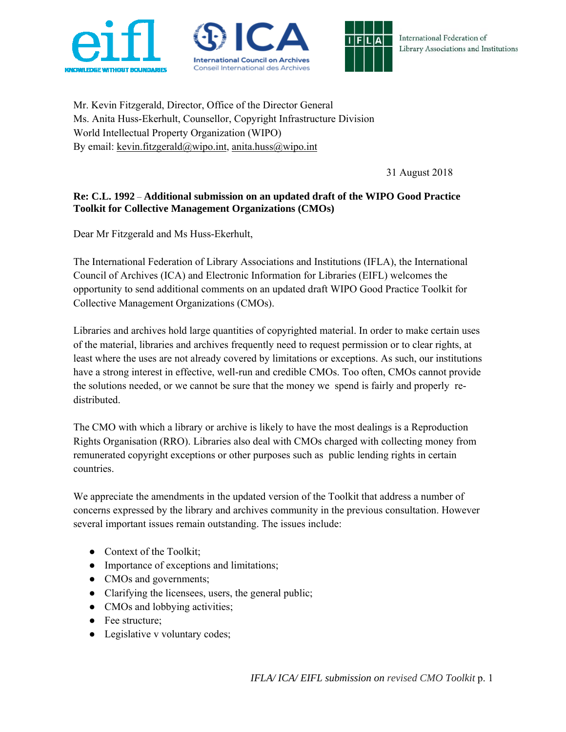





Mr. Kevin Fitzgerald, Director, Office of the Director General Ms. Anita Huss-Ekerhult, Counsellor, Copyright Infrastructure Division World Intellectual Property Organization (WIPO) By email: kevin.fitzgerald@wipo.int, anita.huss@wipo.int

31 August 2018

# **Re: C.L. 1992** – **Additional submission on an updated draft of the WIPO Good Practice Toolkit for Collective Management Organizations (CMOs)**

Dear Mr Fitzgerald and Ms Huss-Ekerhult,

The International Federation of Library Associations and Institutions (IFLA), the International Council of Archives (ICA) and Electronic Information for Libraries (EIFL) welcomes the opportunity to send additional comments on an updated draft WIPO Good Practice Toolkit for Collective Management Organizations (CMOs).

Libraries and archives hold large quantities of copyrighted material. In order to make certain uses of the material, libraries and archives frequently need to request permission or to clear rights, at least where the uses are not already covered by limitations or exceptions. As such, our institutions have a strong interest in effective, well-run and credible CMOs. Too often, CMOs cannot provide the solutions needed, or we cannot be sure that the money we spend is fairly and properly redistributed.

The CMO with which a library or archive is likely to have the most dealings is a Reproduction Rights Organisation (RRO). Libraries also deal with CMOs charged with collecting money from remunerated copyright exceptions or other purposes such as public lending rights in certain countries.

We appreciate the amendments in the updated version of the Toolkit that address a number of concerns expressed by the library and archives community in the previous consultation. However several important issues remain outstanding. The issues include:

- Context of the Toolkit;
- Importance of exceptions and limitations;
- CMOs and governments;
- Clarifying the licensees, users, the general public;
- CMOs and lobbying activities;
- Fee structure;
- Legislative v voluntary codes;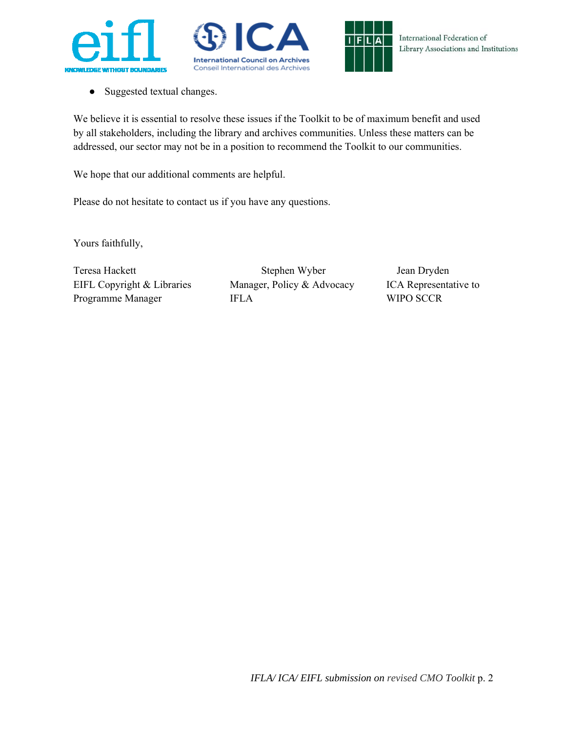





● Suggested textual changes.

We believe it is essential to resolve these issues if the Toolkit to be of maximum benefit and used by all stakeholders, including the library and archives communities. Unless these matters can be addressed, our sector may not be in a position to recommend the Toolkit to our communities.

We hope that our additional comments are helpful.

Please do not hesitate to contact us if you have any questions.

Yours faithfully,

Programme Manager **IFLA** WIPO SCCR

Teresa Hackett Stephen Wyber Jean Dryden EIFL Copyright & Libraries Manager, Policy & Advocacy ICA Representative to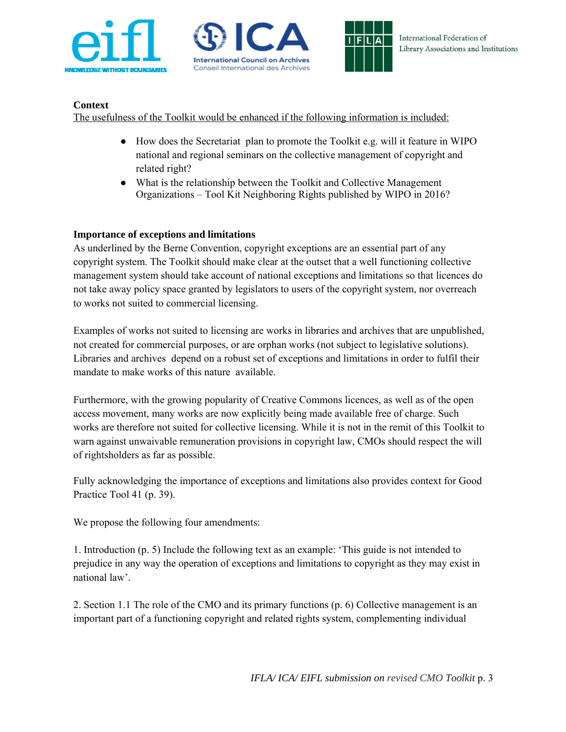





# **Context**

The usefulness of the Toolkit would be enhanced if the following information is included:

- How does the Secretariat plan to promote the Toolkit e.g. will it feature in WIPO national and regional seminars on the collective management of copyright and related right?
- What is the relationship between the Toolkit and Collective Management Organizations – Tool Kit Neighboring Rights published by WIPO in 2016?

### **Importance of exceptions and limitations**

As underlined by the Berne Convention, copyright exceptions are an essential part of any copyright system. The Toolkit should make clear at the outset that a well functioning collective management system should take account of national exceptions and limitations so that licences do not take away policy space granted by legislators to users of the copyright system, nor overreach to works not suited to commercial licensing.

Examples of works not suited to licensing are works in libraries and archives that are unpublished, not created for commercial purposes, or are orphan works (not subject to legislative solutions). Libraries and archives depend on a robust set of exceptions and limitations in order to fulfil their mandate to make works of this nature available.

Furthermore, with the growing popularity of Creative Commons licences, as well as of the open access movement, many works are now explicitly being made available free of charge. Such works are therefore not suited for collective licensing. While it is not in the remit of this Toolkit to warn against unwaivable remuneration provisions in copyright law, CMOs should respect the will of rightsholders as far as possible.

Fully acknowledging the importance of exceptions and limitations also provides context for Good Practice Tool 41 (p. 39).

We propose the following four amendments:

1. Introduction (p. 5) Include the following text as an example: 'This guide is not intended to prejudice in any way the operation of exceptions and limitations to copyright as they may exist in national law'.

2. Section 1.1 The role of the CMO and its primary functions (p. 6) Collective management is an important part of a functioning copyright and related rights system, complementing individual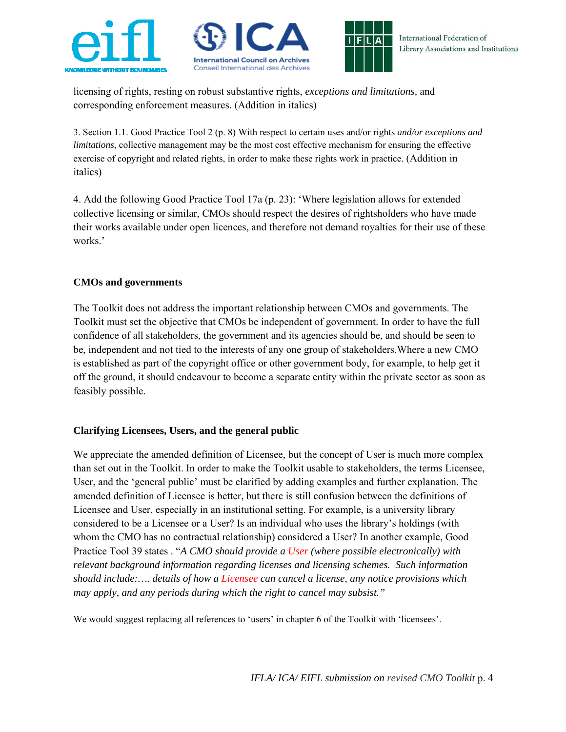





licensing of rights, resting on robust substantive rights, *exceptions and limitations,* and corresponding enforcement measures. (Addition in italics)

3. Section 1.1. Good Practice Tool 2 (p. 8) With respect to certain uses and/or rights *and/or exceptions and limitations*, collective management may be the most cost effective mechanism for ensuring the effective exercise of copyright and related rights, in order to make these rights work in practice. (Addition in italics)

4. Add the following Good Practice Tool 17a (p. 23): 'Where legislation allows for extended collective licensing or similar, CMOs should respect the desires of rightsholders who have made their works available under open licences, and therefore not demand royalties for their use of these works.'

### **CMOs and governments**

The Toolkit does not address the important relationship between CMOs and governments. The Toolkit must set the objective that CMOs be independent of government. In order to have the full confidence of all stakeholders, the government and its agencies should be, and should be seen to be, independent and not tied to the interests of any one group of stakeholders.Where a new CMO is established as part of the copyright office or other government body, for example, to help get it off the ground, it should endeavour to become a separate entity within the private sector as soon as feasibly possible.

### **Clarifying Licensees, Users, and the general public**

We appreciate the amended definition of Licensee, but the concept of User is much more complex than set out in the Toolkit. In order to make the Toolkit usable to stakeholders, the terms Licensee, User, and the 'general public' must be clarified by adding examples and further explanation. The amended definition of Licensee is better, but there is still confusion between the definitions of Licensee and User, especially in an institutional setting. For example, is a university library considered to be a Licensee or a User? Is an individual who uses the library's holdings (with whom the CMO has no contractual relationship) considered a User? In another example, Good Practice Tool 39 states . "*A CMO should provide a User (where possible electronically) with relevant background information regarding licenses and licensing schemes. Such information should include:…. details of how a Licensee can cancel a license, any notice provisions which may apply, and any periods during which the right to cancel may subsist."* 

We would suggest replacing all references to 'users' in chapter 6 of the Toolkit with 'licensees'.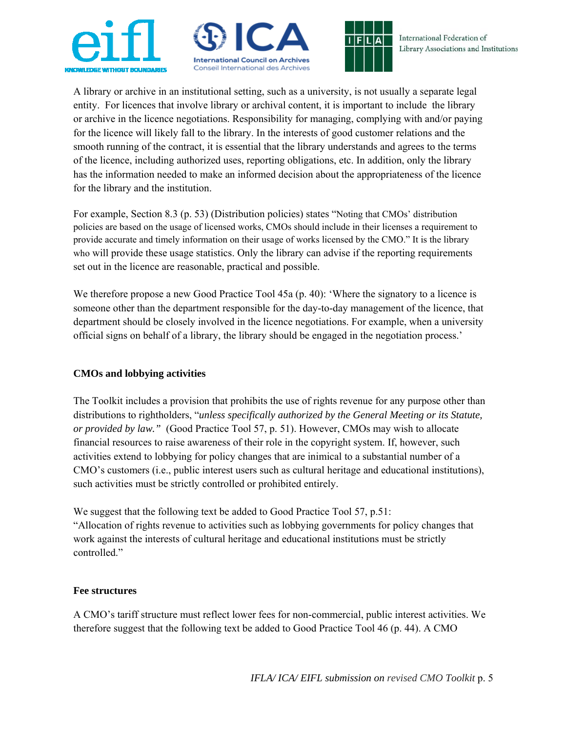





A library or archive in an institutional setting, such as a university, is not usually a separate legal entity. For licences that involve library or archival content, it is important to include the library or archive in the licence negotiations. Responsibility for managing, complying with and/or paying for the licence will likely fall to the library. In the interests of good customer relations and the smooth running of the contract, it is essential that the library understands and agrees to the terms of the licence, including authorized uses, reporting obligations, etc. In addition, only the library has the information needed to make an informed decision about the appropriateness of the licence for the library and the institution.

For example, Section 8.3 (p. 53) (Distribution policies) states "Noting that CMOs' distribution policies are based on the usage of licensed works, CMOs should include in their licenses a requirement to provide accurate and timely information on their usage of works licensed by the CMO." It is the library who will provide these usage statistics. Only the library can advise if the reporting requirements set out in the licence are reasonable, practical and possible.

We therefore propose a new Good Practice Tool 45a (p. 40): 'Where the signatory to a licence is someone other than the department responsible for the day-to-day management of the licence, that department should be closely involved in the licence negotiations. For example, when a university official signs on behalf of a library, the library should be engaged in the negotiation process.'

### **CMOs and lobbying activities**

The Toolkit includes a provision that prohibits the use of rights revenue for any purpose other than distributions to rightholders, "*unless specifically authorized by the General Meeting or its Statute, or provided by law."* (Good Practice Tool 57, p. 51). However, CMOs may wish to allocate financial resources to raise awareness of their role in the copyright system. If, however, such activities extend to lobbying for policy changes that are inimical to a substantial number of a CMO's customers (i.e., public interest users such as cultural heritage and educational institutions), such activities must be strictly controlled or prohibited entirely.

We suggest that the following text be added to Good Practice Tool 57, p.51: "Allocation of rights revenue to activities such as lobbying governments for policy changes that work against the interests of cultural heritage and educational institutions must be strictly controlled."

### **Fee structures**

A CMO's tariff structure must reflect lower fees for non-commercial, public interest activities. We therefore suggest that the following text be added to Good Practice Tool 46 (p. 44). A CMO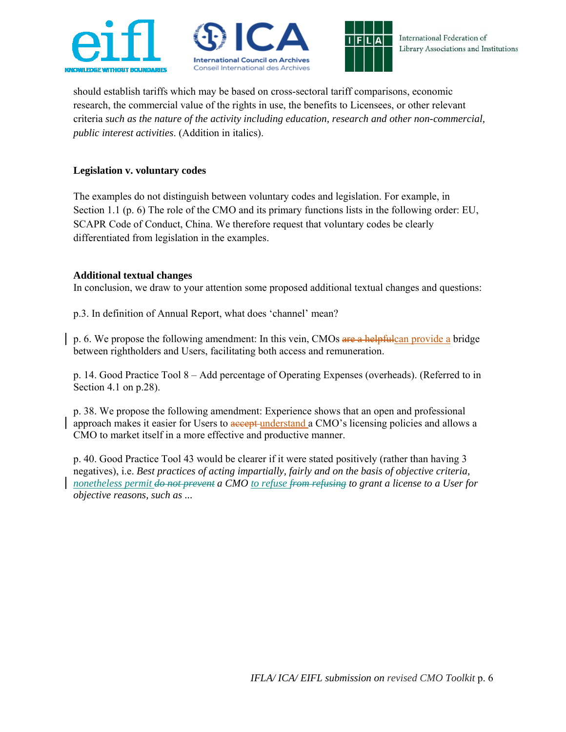





International Federation of Library Associations and Institutions

should establish tariffs which may be based on cross-sectoral tariff comparisons, economic research, the commercial value of the rights in use, the benefits to Licensees, or other relevant criteria *such as the nature of the activity including education, research and other non-commercial, public interest activities*. (Addition in italics).

### **Legislation v. voluntary codes**

The examples do not distinguish between voluntary codes and legislation. For example, in Section 1.1 (p. 6) The role of the CMO and its primary functions lists in the following order: EU, SCAPR Code of Conduct, China. We therefore request that voluntary codes be clearly differentiated from legislation in the examples.

#### **Additional textual changes**

In conclusion, we draw to your attention some proposed additional textual changes and questions:

p.3. In definition of Annual Report, what does 'channel' mean?

p. 6. We propose the following amendment: In this vein, CMOs are a helpfulcan provide a bridge between rightholders and Users, facilitating both access and remuneration.

p. 14. Good Practice Tool 8 – Add percentage of Operating Expenses (overheads). (Referred to in Section 4.1 on p.28).

p. 38. We propose the following amendment: Experience shows that an open and professional approach makes it easier for Users to accept understand a CMO's licensing policies and allows a CMO to market itself in a more effective and productive manner.

p. 40. Good Practice Tool 43 would be clearer if it were stated positively (rather than having 3 negatives), i.e. *Best practices of acting impartially, fairly and on the basis of objective criteria, nonetheless permit do not prevent a CMO to refuse from refusing to grant a license to a User for objective reasons, such as ...*